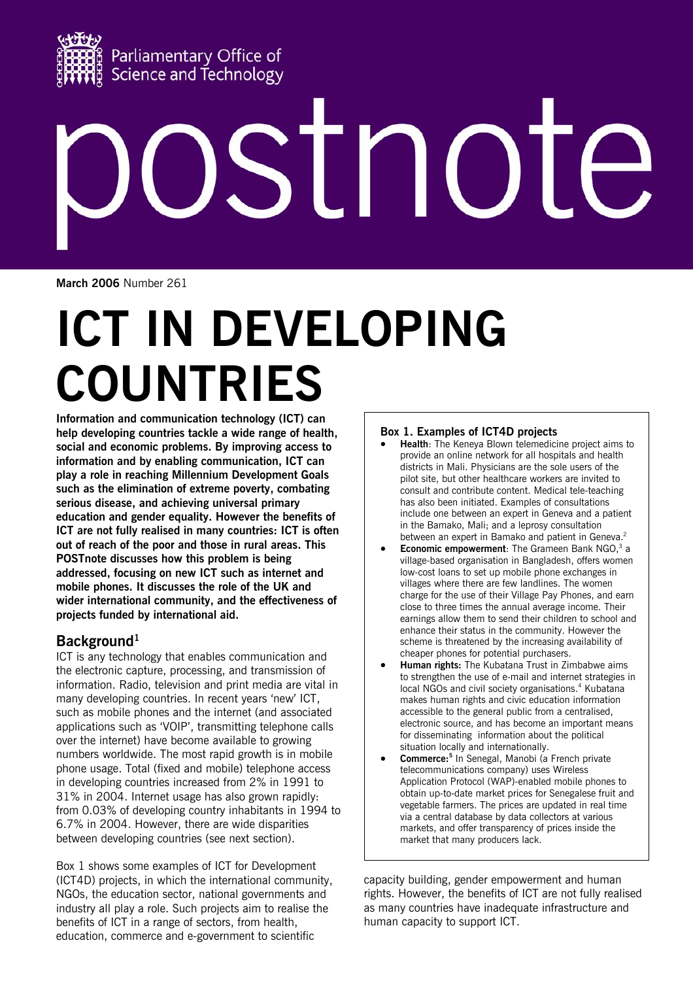

# STI NO

**March 2006** Number 261

# **ICT IN DEVELOPING COUNTRIES**

**Information and communication technology (ICT) can help developing countries tackle a wide range of health, social and economic problems. By improving access to information and by enabling communication, ICT can play a role in reaching Millennium Development Goals such as the elimination of extreme poverty, combating serious disease, and achieving universal primary education and gender equality. However the benefits of ICT are not fully realised in many countries: ICT is often out of reach of the poor and those in rural areas. This POSTnote discusses how this problem is being addressed, focusing on new ICT such as internet and mobile phones. It discusses the role of the UK and wider international community, and the effectiveness of projects funded by international aid.** 

# Background<sup>1</sup>

ICT is any technology that enables communication and the electronic capture, processing, and transmission of information. Radio, television and print media are vital in many developing countries. In recent years 'new' ICT, such as mobile phones and the internet (and associated applications such as 'VOIP', transmitting telephone calls over the internet) have become available to growing numbers worldwide. The most rapid growth is in mobile phone usage. Total (fixed and mobile) telephone access in developing countries increased from 2% in 1991 to 31% in 2004. Internet usage has also grown rapidly: from 0.03% of developing country inhabitants in 1994 to 6.7% in 2004. However, there are wide disparities between developing countries (see next section).

Box 1 shows some examples of ICT for Development (ICT4D) projects, in which the international community, NGOs, the education sector, national governments and industry all play a role. Such projects aim to realise the benefits of ICT in a range of sectors, from health, education, commerce and e-government to scientific

#### **Box 1. Examples of ICT4D projects**

- **Health**: The Keneya Blown telemedicine project aims to provide an online network for all hospitals and health districts in Mali. Physicians are the sole users of the pilot site, but other healthcare workers are invited to consult and contribute content. Medical tele-teaching has also been initiated. Examples of consultations include one between an expert in Geneva and a patient in the Bamako, Mali; and a leprosy consultation between an expert in Bamako and patient in Geneva.<sup>2</sup>
- **Economic empowerment**: The Grameen Bank NGO,<sup>3</sup> a village-based organisation in Bangladesh, offers women low-cost loans to set up mobile phone exchanges in villages where there are few landlines. The women charge for the use of their Village Pay Phones, and earn close to three times the annual average income. Their earnings allow them to send their children to school and enhance their status in the community. However the scheme is threatened by the increasing availability of cheaper phones for potential purchasers.
- **Human rights:** The Kubatana Trust in Zimbabwe aims to strengthen the use of e-mail and internet strategies in local NGOs and civil society organisations.<sup>4</sup> Kubatana makes human rights and civic education information accessible to the general public from a centralised, electronic source, and has become an important means for disseminating information about the political situation locally and internationally.
- **Commerce:5** In Senegal, Manobi (a French private telecommunications company) uses Wireless Application Protocol (WAP)-enabled mobile phones to obtain up-to-date market prices for Senegalese fruit and vegetable farmers. The prices are updated in real time via a central database by data collectors at various markets, and offer transparency of prices inside the market that many producers lack.

capacity building, gender empowerment and human rights. However, the benefits of ICT are not fully realised as many countries have inadequate infrastructure and human capacity to support ICT.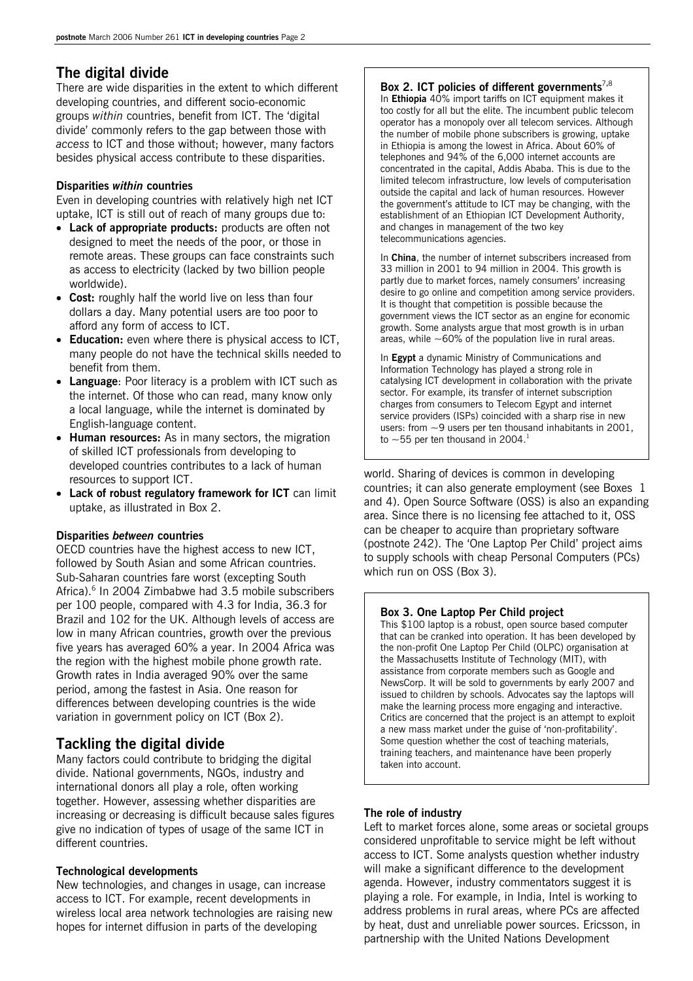# **The digital divide**

There are wide disparities in the extent to which different developing countries, and different socio-economic groups *within* countries, benefit from ICT. The 'digital divide' commonly refers to the gap between those with *access* to ICT and those without; however, many factors besides physical access contribute to these disparities.

#### **Disparities** *within* **countries**

Even in developing countries with relatively high net ICT uptake, ICT is still out of reach of many groups due to:

- **Lack of appropriate products:** products are often not designed to meet the needs of the poor, or those in remote areas. These groups can face constraints such as access to electricity (lacked by two billion people worldwide).
- **Cost:** roughly half the world live on less than four dollars a day. Many potential users are too poor to afford any form of access to ICT.
- **Education:** even where there is physical access to ICT, many people do not have the technical skills needed to benefit from them.
- **Language:** Poor literacy is a problem with ICT such as the internet. Of those who can read, many know only a local language, while the internet is dominated by English-language content.
- **Human resources:** As in many sectors, the migration of skilled ICT professionals from developing to developed countries contributes to a lack of human resources to support ICT.
- **Lack of robust regulatory framework for ICT** can limit uptake, as illustrated in Box 2.

#### **Disparities** *between* **countries**

OECD countries have the highest access to new ICT, followed by South Asian and some African countries. Sub-Saharan countries fare worst (excepting South Africa).<sup>6</sup> In 2004 Zimbabwe had 3.5 mobile subscribers per 100 people, compared with 4.3 for India, 36.3 for Brazil and 102 for the UK. Although levels of access are low in many African countries, growth over the previous five years has averaged 60% a year. In 2004 Africa was the region with the highest mobile phone growth rate. Growth rates in India averaged 90% over the same period, among the fastest in Asia. One reason for differences between developing countries is the wide variation in government policy on ICT (Box 2).

# **Tackling the digital divide**

Many factors could contribute to bridging the digital divide. National governments, NGOs, industry and international donors all play a role, often working together. However, assessing whether disparities are increasing or decreasing is difficult because sales figures give no indication of types of usage of the same ICT in different countries.

#### **Technological developments**

New technologies, and changes in usage, can increase access to ICT. For example, recent developments in wireless local area network technologies are raising new hopes for internet diffusion in parts of the developing

#### **Box 2. ICT policies of different governments**<sup>7</sup>**,**<sup>8</sup>

In **Ethiopia** 40% import tariffs on ICT equipment makes it too costly for all but the elite. The incumbent public telecom operator has a monopoly over all telecom services. Although the number of mobile phone subscribers is growing, uptake in Ethiopia is among the lowest in Africa. About 60% of telephones and 94% of the 6,000 internet accounts are concentrated in the capital, Addis Ababa. This is due to the limited telecom infrastructure, low levels of computerisation outside the capital and lack of human resources. However the government's attitude to ICT may be changing, with the establishment of an Ethiopian ICT Development Authority, and changes in management of the two key telecommunications agencies.

In **China**, the number of internet subscribers increased from 33 million in 2001 to 94 million in 2004. This growth is partly due to market forces, namely consumers' increasing desire to go online and competition among service providers. It is thought that competition is possible because the government views the ICT sector as an engine for economic growth. Some analysts argue that most growth is in urban areas, while  $\sim$  60% of the population live in rural areas.

In **Egypt** a dynamic Ministry of Communications and Information Technology has played a strong role in catalysing ICT development in collaboration with the private sector. For example, its transfer of internet subscription charges from consumers to Telecom Egypt and internet service providers (ISPs) coincided with a sharp rise in new users: from  $\sim$ 9 users per ten thousand inhabitants in 2001, to  $\sim$  55 per ten thousand in 2004.<sup>1</sup>

world. Sharing of devices is common in developing countries; it can also generate employment (see Boxes 1 and 4). Open Source Software (OSS) is also an expanding area. Since there is no licensing fee attached to it, OSS can be cheaper to acquire than proprietary software (postnote 242). The 'One Laptop Per Child' project aims to supply schools with cheap Personal Computers (PCs) which run on OSS (Box 3).

#### **Box 3. One Laptop Per Child project**

This \$100 laptop is a robust, open source based computer that can be cranked into operation. It has been developed by the non-profit One Laptop Per Child (OLPC) organisation at the Massachusetts Institute of Technology (MIT), with assistance from corporate members such as Google and NewsCorp. It will be sold to governments by early 2007 and issued to children by schools. Advocates say the laptops will make the learning process more engaging and interactive. Critics are concerned that the project is an attempt to exploit a new mass market under the guise of 'non-profitability'. Some question whether the cost of teaching materials, training teachers, and maintenance have been properly taken into account.

#### **The role of industry**

Left to market forces alone, some areas or societal groups considered unprofitable to service might be left without access to ICT. Some analysts question whether industry will make a significant difference to the development agenda. However, industry commentators suggest it is playing a role. For example, in India, Intel is working to address problems in rural areas, where PCs are affected by heat, dust and unreliable power sources. Ericsson, in partnership with the United Nations Development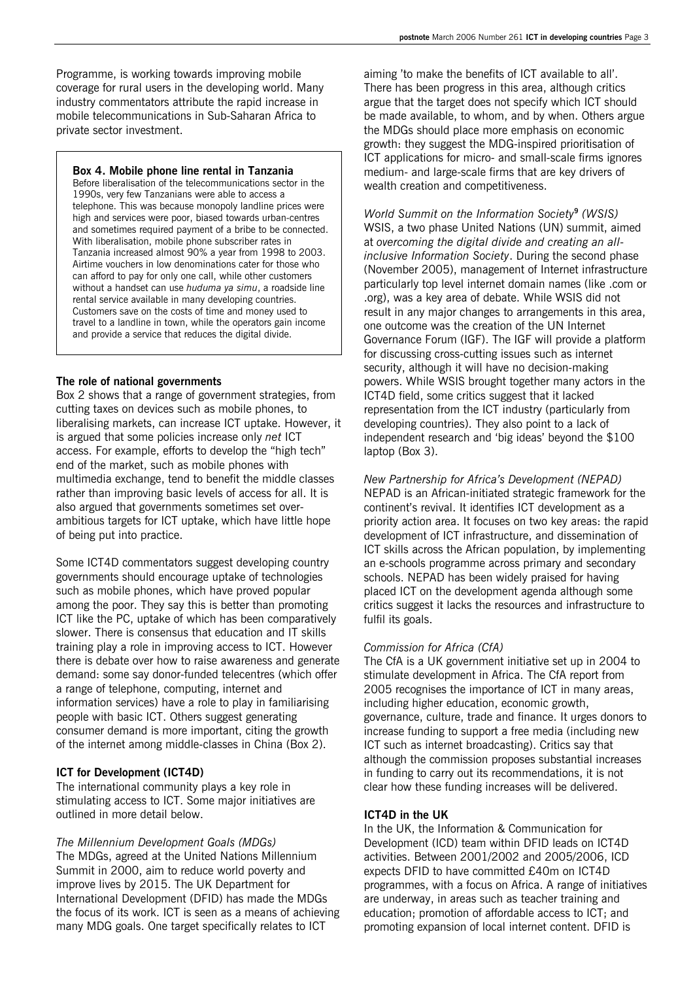Programme, is working towards improving mobile coverage for rural users in the developing world. Many industry commentators attribute the rapid increase in mobile telecommunications in Sub-Saharan Africa to private sector investment.

#### **Box 4. Mobile phone line rental in Tanzania**

Before liberalisation of the telecommunications sector in the 1990s, very few Tanzanians were able to access a telephone. This was because monopoly landline prices were high and services were poor, biased towards urban-centres and sometimes required payment of a bribe to be connected. With liberalisation, mobile phone subscriber rates in Tanzania increased almost 90% a year from 1998 to 2003. Airtime vouchers in low denominations cater for those who can afford to pay for only one call, while other customers without a handset can use *huduma ya simu*, a roadside line rental service available in many developing countries. Customers save on the costs of time and money used to travel to a landline in town, while the operators gain income and provide a service that reduces the digital divide.

#### **The role of national governments**

Box 2 shows that a range of government strategies, from cutting taxes on devices such as mobile phones, to liberalising markets, can increase ICT uptake. However, it is argued that some policies increase only *net* ICT access. For example, efforts to develop the "high tech" end of the market, such as mobile phones with multimedia exchange, tend to benefit the middle classes rather than improving basic levels of access for all. It is also argued that governments sometimes set overambitious targets for ICT uptake, which have little hope of being put into practice.

Some ICT4D commentators suggest developing country governments should encourage uptake of technologies such as mobile phones, which have proved popular among the poor. They say this is better than promoting ICT like the PC, uptake of which has been comparatively slower. There is consensus that education and IT skills training play a role in improving access to ICT. However there is debate over how to raise awareness and generate demand: some say donor-funded telecentres (which offer a range of telephone, computing, internet and information services) have a role to play in familiarising people with basic ICT. Others suggest generating consumer demand is more important, citing the growth of the internet among middle-classes in China (Box 2).

#### **ICT for Development (ICT4D)**

The international community plays a key role in stimulating access to ICT. Some major initiatives are outlined in more detail below.

*The Millennium Development Goals (MDGs)*  The MDGs, agreed at the United Nations Millennium Summit in 2000, aim to reduce world poverty and improve lives by 2015. The UK Department for International Development (DFID) has made the MDGs the focus of its work. ICT is seen as a means of achieving many MDG goals. One target specifically relates to ICT

aiming 'to make the benefits of ICT available to all'. There has been progress in this area, although critics argue that the target does not specify which ICT should be made available, to whom, and by when. Others argue the MDGs should place more emphasis on economic growth: they suggest the MDG-inspired prioritisation of ICT applications for micro- and small-scale firms ignores medium- and large-scale firms that are key drivers of wealth creation and competitiveness.

*World Summit on the Information Society***<sup>9</sup>**  *(WSIS)* WSIS, a two phase United Nations (UN) summit, aimed at *overcoming the digital divide and creating an allinclusive Information Society*. During the second phase (November 2005), management of Internet infrastructure particularly top level internet domain names (like .com or .org), was a key area of debate. While WSIS did not result in any major changes to arrangements in this area, one outcome was the creation of the UN Internet Governance Forum (IGF). The IGF will provide a platform for discussing cross-cutting issues such as internet security, although it will have no decision-making powers. While WSIS brought together many actors in the ICT4D field, some critics suggest that it lacked representation from the ICT industry (particularly from developing countries). They also point to a lack of independent research and 'big ideas' beyond the \$100 laptop (Box 3).

*New Partnership for Africa's Development (NEPAD)*  NEPAD is an African-initiated strategic framework for the continent's revival. It identifies ICT development as a priority action area. It focuses on two key areas: the rapid development of ICT infrastructure, and dissemination of ICT skills across the African population, by implementing an e-schools programme across primary and secondary schools. NEPAD has been widely praised for having placed ICT on the development agenda although some critics suggest it lacks the resources and infrastructure to fulfil its goals.

#### *Commission for Africa (CfA)*

The CfA is a UK government initiative set up in 2004 to stimulate development in Africa. The CfA report from 2005 recognises the importance of ICT in many areas, including higher education, economic growth, governance, culture, trade and finance. It urges donors to increase funding to support a free media (including new ICT such as internet broadcasting). Critics say that although the commission proposes substantial increases in funding to carry out its recommendations, it is not clear how these funding increases will be delivered.

#### **ICT4D in the UK**

In the UK, the Information & Communication for Development (ICD) team within DFID leads on ICT4D activities. Between 2001/2002 and 2005/2006, ICD expects DFID to have committed £40m on ICT4D programmes, with a focus on Africa. A range of initiatives are underway, in areas such as teacher training and education; promotion of affordable access to ICT; and promoting expansion of local internet content. DFID is